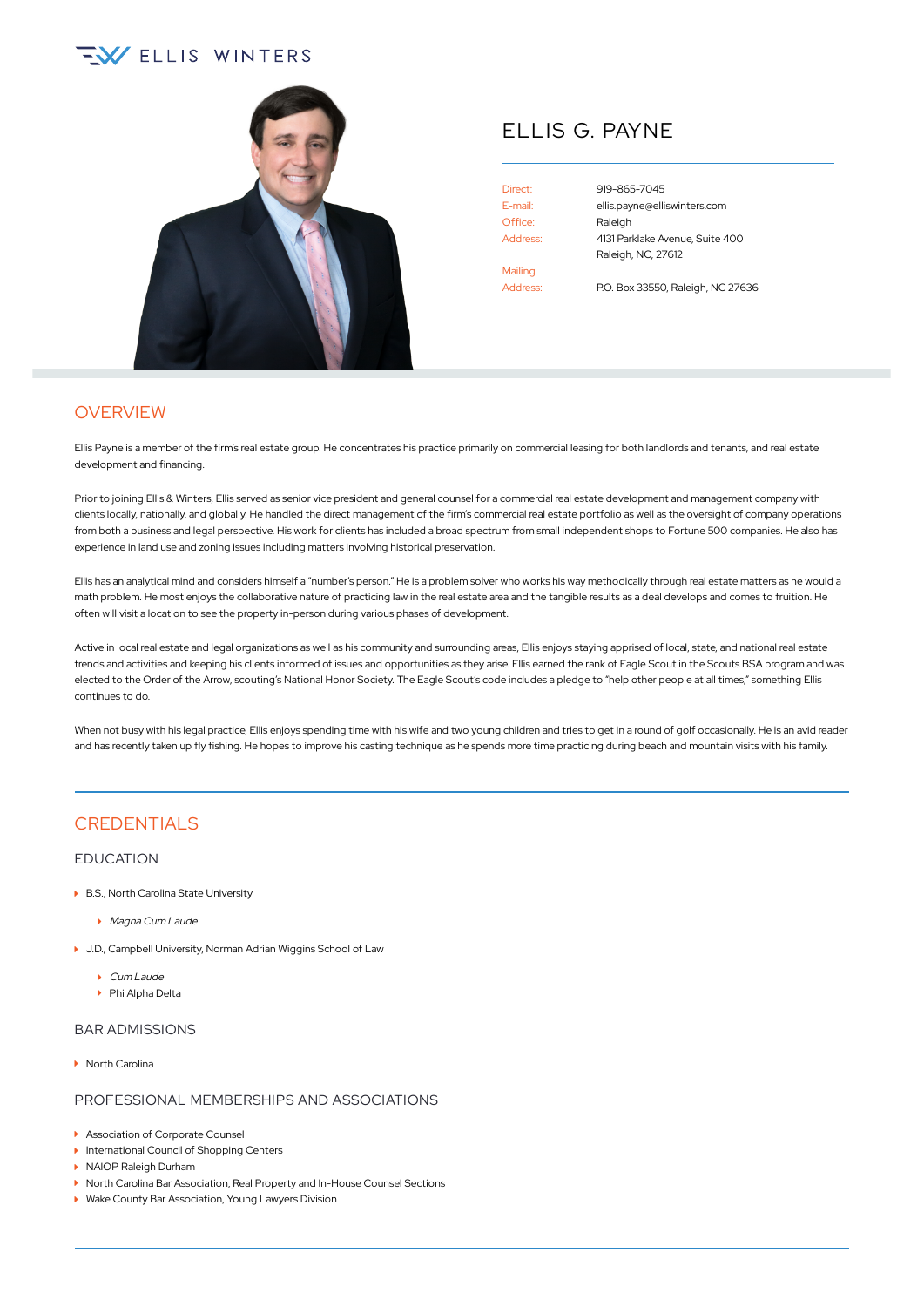# $\sqrt{2}$  ELLIS WINTERS



## ELLIS G. PAYNE

Office: Raleigh Mailing Address: P.O. Box 33550, Raleigh, NC 27636

Direct: [919-865-7045](tel:+1-919-865-7045) E-mail: [ellis.payne@elliswinters.com](mailto:ellis.payne@elliswinters.com) Address: 4131 Parklake Avenue, Suite 400 Raleigh, NC, 27612

## **OVERVIEW**

Ellis Payne is a member of the firm's real estate group. He concentrates his practice primarily on commercial leasing for both landlords and tenants, and real estate development and financing.

Prior to joining Ellis & Winters, Ellis served as senior vice president and general counsel for a commercial real estate development and management company with clients locally, nationally, and globally. He handled the direct management of the firm's commercial real estate portfolio as well as the oversight of company operations from both a business and legal perspective. His work for clients has included a broad spectrum from small independent shops to Fortune 500 companies. He also has experience in land use and zoning issues including matters involving historical preservation.

Ellis has an analytical mind and considers himself a "number's person." He is a problem solver who works his way methodically through real estate matters as he would a math problem. He most enjoys the collaborative nature of practicing law in the real estate area and the tangible results as a deal develops and comes to fruition. He often will visit a location to see the property in-person during various phases of development.

Active in local real estate and legal organizations as well as his community and surrounding areas, Ellis enjoys staying apprised of local, state, and national real estate trends and activities and keeping his clients informed of issues and opportunities as they arise. Ellis earned the rank of Eagle Scout in the Scouts BSA program and was elected to the Order of the Arrow, scouting's National Honor Society. The Eagle Scout's code includes a pledge to "help other people at all times," something Ellis continues to do.

When not busy with his legal practice, Ellis enjoys spending time with his wife and two young children and tries to get in a round of golf occasionally. He is an avid reader and has recently taken up fly fishing. He hopes to improve his casting technique as he spends more time practicing during beach and mountain visits with his family.

## **CREDENTIALS**

#### EDUCATION

- ▶ B.S., North Carolina State University
	- **Magna Cum Laude**
- J.D., Campbell University, Norman Adrian Wiggins School of Law
	- Cum Laude
	- Phi Alpha Delta

### BAR ADMISSIONS

▶ North Carolina

#### PROFESSIONAL MEMBERSHIPS AND ASSOCIATIONS

- Association of Corporate Counsel
- **International Council of Shopping Centers**
- NAIOP Raleigh Durham
- ▶ North Carolina Bar Association, Real Property and In-House Counsel Sections
- ▶ Wake County Bar Association, Young Lawyers Division